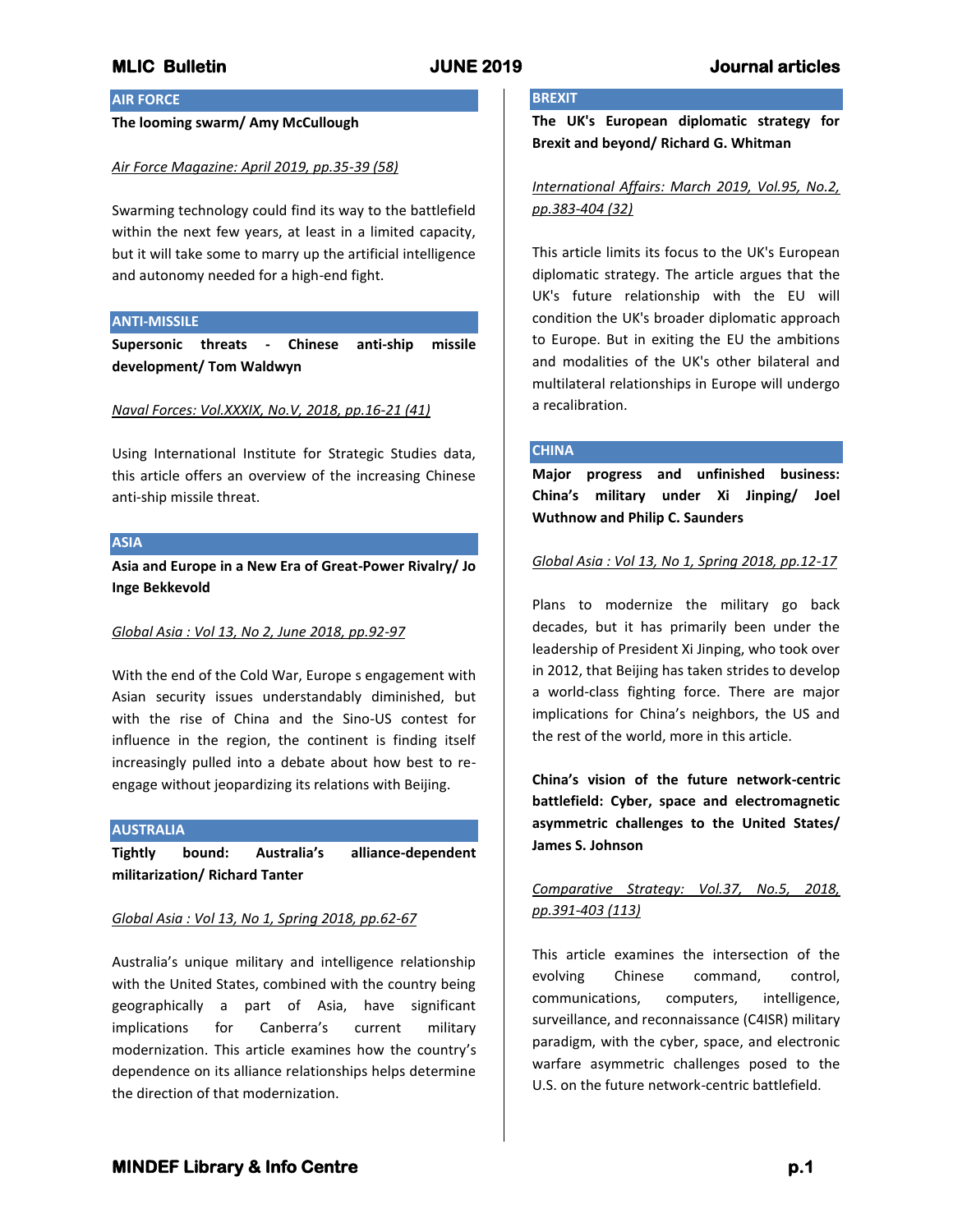### **AIR FORCE**

#### **The looming swarm/ Amy McCullough**

#### *Air Force Magazine: April 2019, pp.35-39 (58)*

Swarming technology could find its way to the battlefield within the next few years, at least in a limited capacity, but it will take some to marry up the artificial intelligence and autonomy needed for a high-end fight.

## **ANTI-MISSILE**

**Supersonic threats - Chinese anti-ship missile development/ Tom Waldwyn**

#### *Naval Forces: Vol.XXXIX, No.V, 2018, pp.16-21 (41)*

Using International Institute for Strategic Studies data, this article offers an overview of the increasing Chinese anti-ship missile threat.

## **ASIA**

**Asia and Europe in a New Era of Great-Power Rivalry/ Jo Inge Bekkevold**

### *Global Asia : Vol 13, No 2, June 2018, pp.92-97*

With the end of the Cold War, Europe s engagement with Asian security issues understandably diminished, but with the rise of China and the Sino-US contest for influence in the region, the continent is finding itself increasingly pulled into a debate about how best to reengage without jeopardizing its relations with Beijing.

#### **AUSTRALIA**

**Tightly bound: Australia's alliance-dependent militarization/ Richard Tanter**

#### *Global Asia : Vol 13, No 1, Spring 2018, pp.62-67*

Australia's unique military and intelligence relationship with the United States, combined with the country being geographically a part of Asia, have significant implications for Canberra's current military modernization. This article examines how the country's dependence on its alliance relationships helps determine the direction of that modernization.

# **BREXIT**

**The UK's European diplomatic strategy for Brexit and beyond/ Richard G. Whitman**

## *International Affairs: March 2019, Vol.95, No.2, pp.383-404 (32)*

This article limits its focus to the UK's European diplomatic strategy. The article argues that the UK's future relationship with the EU will condition the UK's broader diplomatic approach to Europe. But in exiting the EU the ambitions and modalities of the UK's other bilateral and multilateral relationships in Europe will undergo a recalibration.

### **CHINA**

**Major progress and unfinished business: China's military under Xi Jinping/ Joel Wuthnow and Philip C. Saunders**

#### *Global Asia : Vol 13, No 1, Spring 2018, pp.12-17*

Plans to modernize the military go back decades, but it has primarily been under the leadership of President Xi Jinping, who took over in 2012, that Beijing has taken strides to develop a world-class fighting force. There are major implications for China's neighbors, the US and the rest of the world, more in this article.

**China's vision of the future network-centric battlefield: Cyber, space and electromagnetic asymmetric challenges to the United States/ James S. Johnson**

# *Comparative Strategy: Vol.37, No.5, 2018, pp.391-403 (113)*

This article examines the intersection of the evolving Chinese command, control, communications, computers, intelligence, surveillance, and reconnaissance (C4ISR) military paradigm, with the cyber, space, and electronic warfare asymmetric challenges posed to the U.S. on the future network-centric battlefield.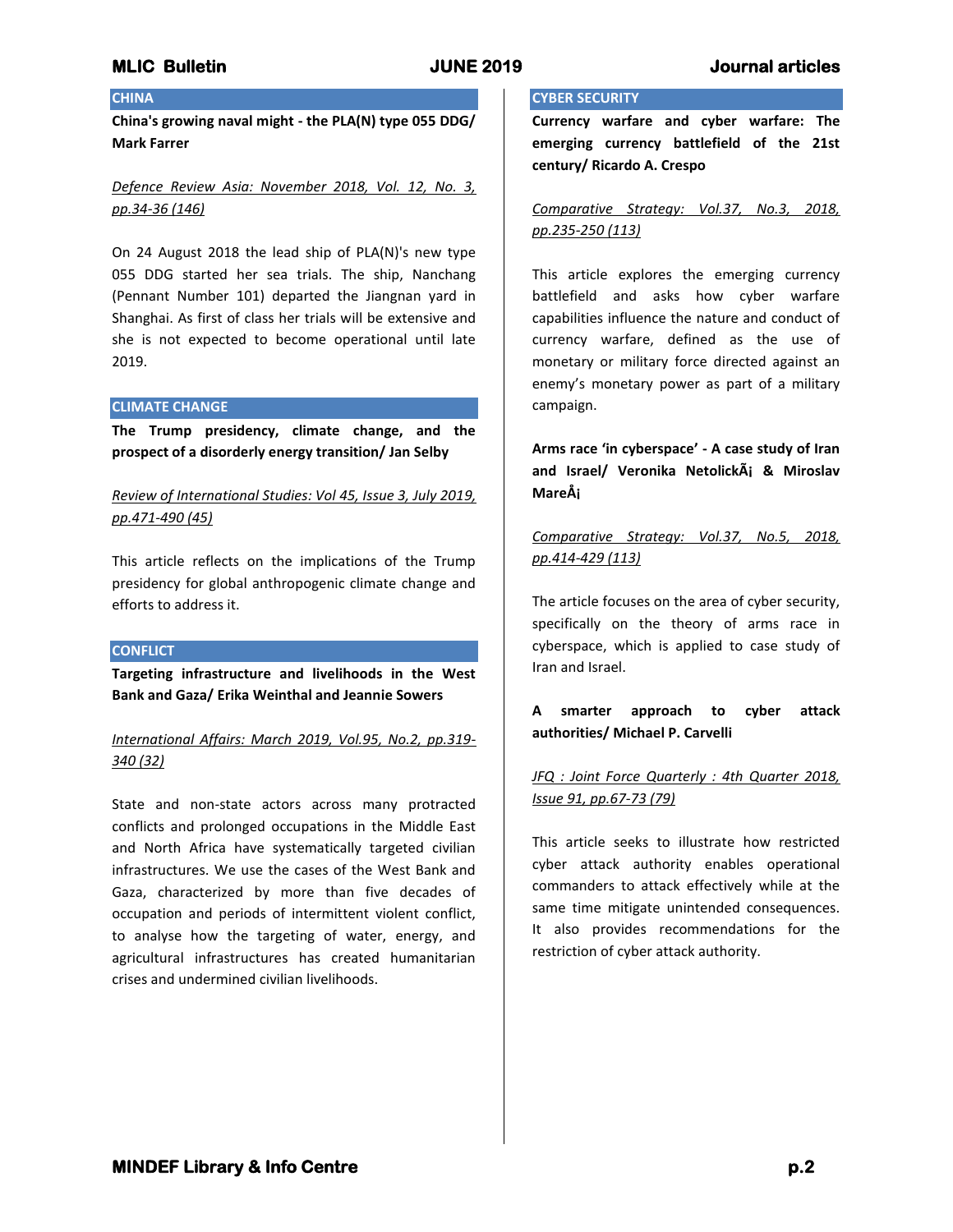# **CHINA**

**China's growing naval might - the PLA(N) type 055 DDG/ Mark Farrer**

*Defence Review Asia: November 2018, Vol. 12, No. 3, pp.34-36 (146)*

On 24 August 2018 the lead ship of PLA(N)'s new type 055 DDG started her sea trials. The ship, Nanchang (Pennant Number 101) departed the Jiangnan yard in Shanghai. As first of class her trials will be extensive and she is not expected to become operational until late 2019.

#### **CLIMATE CHANGE**

**The Trump presidency, climate change, and the prospect of a disorderly energy transition/ Jan Selby**

*Review of International Studies: Vol 45, Issue 3, July 2019, pp.471-490 (45)*

This article reflects on the implications of the Trump presidency for global anthropogenic climate change and efforts to address it.

### **CONFLICT**

**Targeting infrastructure and livelihoods in the West Bank and Gaza/ Erika Weinthal and Jeannie Sowers**

*International Affairs: March 2019, Vol.95, No.2, pp.319- 340 (32)*

State and non-state actors across many protracted conflicts and prolonged occupations in the Middle East and North Africa have systematically targeted civilian infrastructures. We use the cases of the West Bank and Gaza, characterized by more than five decades of occupation and periods of intermittent violent conflict, to analyse how the targeting of water, energy, and agricultural infrastructures has created humanitarian crises and undermined civilian livelihoods.

### **CYBER SECURITY**

**Currency warfare and cyber warfare: The emerging currency battlefield of the 21st century/ Ricardo A. Crespo**

*Comparative Strategy: Vol.37, No.3, 2018, pp.235-250 (113)*

This article explores the emerging currency battlefield and asks how cyber warfare capabilities influence the nature and conduct of currency warfare, defined as the use of monetary or military force directed against an enemy's monetary power as part of a military campaign.

**Arms race 'in cyberspace' - A case study of Iran and Israel/ Veronika Netolická & Miroslav Mareš**

*Comparative Strategy: Vol.37, No.5, 2018, pp.414-429 (113)*

The article focuses on the area of cyber security, specifically on the theory of arms race in cyberspace, which is applied to case study of Iran and Israel.

**A smarter approach to cyber attack authorities/ Michael P. Carvelli**

*JFQ : Joint Force Quarterly : 4th Quarter 2018, Issue 91, pp.67-73 (79)*

This article seeks to illustrate how restricted cyber attack authority enables operational commanders to attack effectively while at the same time mitigate unintended consequences. It also provides recommendations for the restriction of cyber attack authority.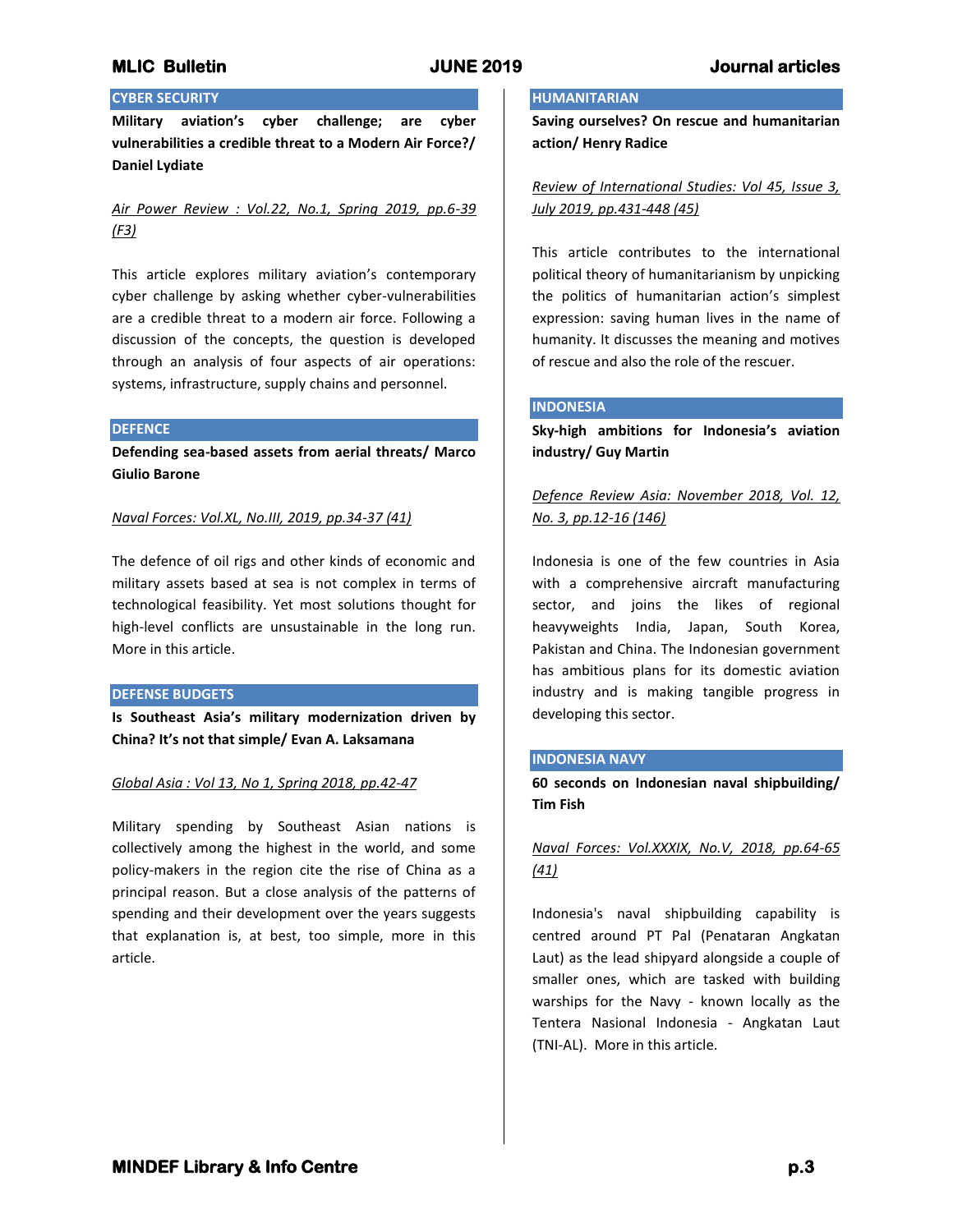# **CYBER SECURITY**

**Military aviation's cyber challenge; are cyber vulnerabilities a credible threat to a Modern Air Force?/ Daniel Lydiate**

*Air Power Review : Vol.22, No.1, Spring 2019, pp.6-39 (F3)*

This article explores military aviation's contemporary cyber challenge by asking whether cyber-vulnerabilities are a credible threat to a modern air force. Following a discussion of the concepts, the question is developed through an analysis of four aspects of air operations: systems, infrastructure, supply chains and personnel.

### **DEFENCE**

**Defending sea-based assets from aerial threats/ Marco Giulio Barone**

### *Naval Forces: Vol.XL, No.III, 2019, pp.34-37 (41)*

The defence of oil rigs and other kinds of economic and military assets based at sea is not complex in terms of technological feasibility. Yet most solutions thought for high-level conflicts are unsustainable in the long run. More in this article.

### **DEFENSE BUDGETS**

**Is Southeast Asia's military modernization driven by China? It's not that simple/ Evan A. Laksamana**

## *Global Asia : Vol 13, No 1, Spring 2018, pp.42-47*

Military spending by Southeast Asian nations is collectively among the highest in the world, and some policy-makers in the region cite the rise of China as a principal reason. But a close analysis of the patterns of spending and their development over the years suggests that explanation is, at best, too simple, more in this article.

#### **HUMANITARIAN**

**Saving ourselves? On rescue and humanitarian action/ Henry Radice**

*Review of International Studies: Vol 45, Issue 3, July 2019, pp.431-448 (45)*

This article contributes to the international political theory of humanitarianism by unpicking the politics of humanitarian action's simplest expression: saving human lives in the name of humanity. It discusses the meaning and motives of rescue and also the role of the rescuer.

### **INDONESIA**

**Sky-high ambitions for Indonesia's aviation industry/ Guy Martin**

*Defence Review Asia: November 2018, Vol. 12, No. 3, pp.12-16 (146)*

Indonesia is one of the few countries in Asia with a comprehensive aircraft manufacturing sector, and joins the likes of regional heavyweights India, Japan, South Korea, Pakistan and China. The Indonesian government has ambitious plans for its domestic aviation industry and is making tangible progress in developing this sector.

### **INDONESIA NAVY**

**60 seconds on Indonesian naval shipbuilding/ Tim Fish**

# *Naval Forces: Vol.XXXIX, No.V, 2018, pp.64-65 (41)*

Indonesia's naval shipbuilding capability is centred around PT Pal (Penataran Angkatan Laut) as the lead shipyard alongside a couple of smaller ones, which are tasked with building warships for the Navy - known locally as the Tentera Nasional Indonesia - Angkatan Laut (TNI-AL). More in this article.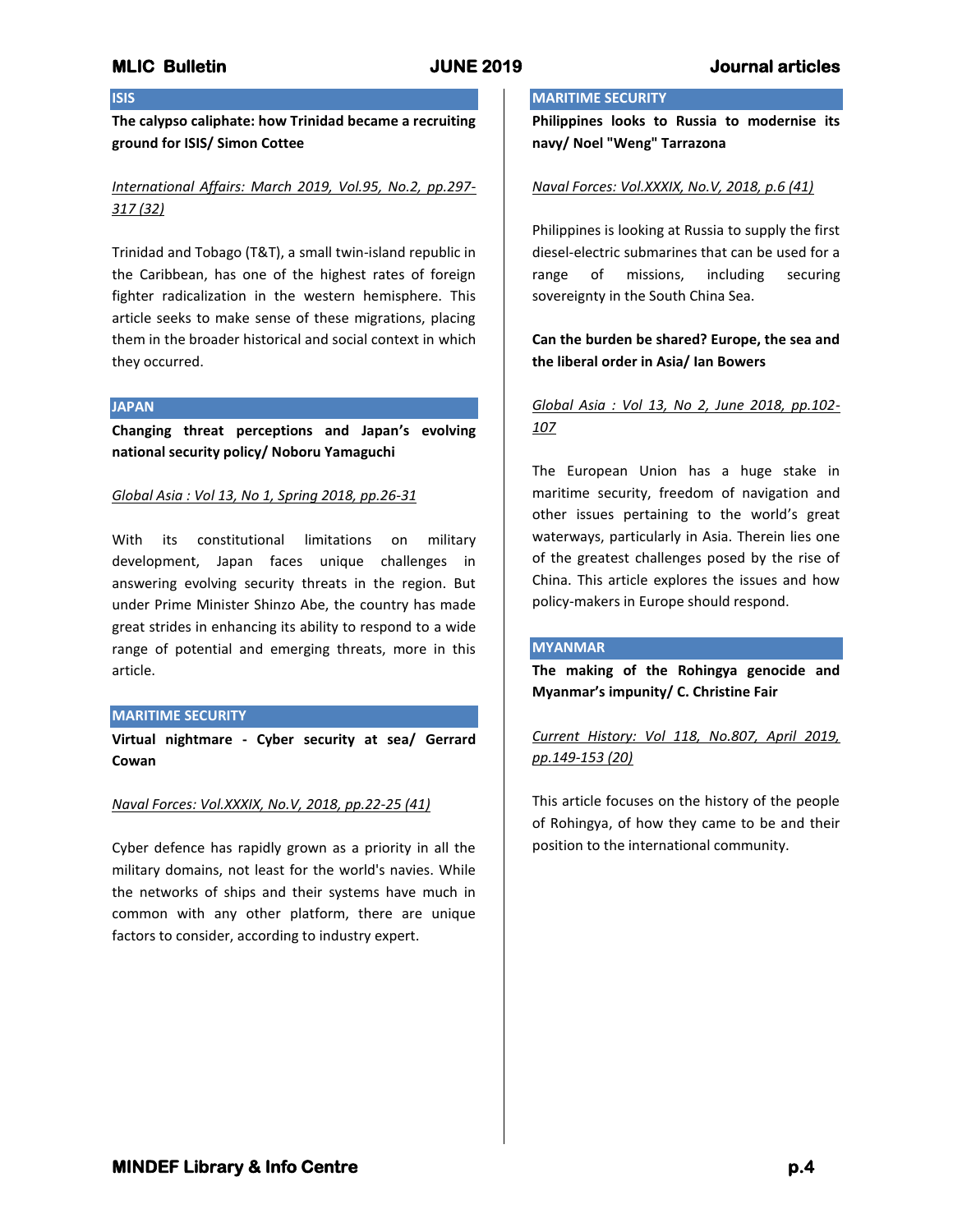## **ISIS**

**The calypso caliphate: how Trinidad became a recruiting ground for ISIS/ Simon Cottee**

# *International Affairs: March 2019, Vol.95, No.2, pp.297- 317 (32)*

Trinidad and Tobago (T&T), a small twin-island republic in the Caribbean, has one of the highest rates of foreign fighter radicalization in the western hemisphere. This article seeks to make sense of these migrations, placing them in the broader historical and social context in which they occurred.

#### **JAPAN**

**Changing threat perceptions and Japan's evolving national security policy/ Noboru Yamaguchi**

### *Global Asia : Vol 13, No 1, Spring 2018, pp.26-31*

With its constitutional limitations on military development, Japan faces unique challenges in answering evolving security threats in the region. But under Prime Minister Shinzo Abe, the country has made great strides in enhancing its ability to respond to a wide range of potential and emerging threats, more in this article.

### **MARITIME SECURITY**

**Virtual nightmare - Cyber security at sea/ Gerrard Cowan**

### *Naval Forces: Vol.XXXIX, No.V, 2018, pp.22-25 (41)*

Cyber defence has rapidly grown as a priority in all the military domains, not least for the world's navies. While the networks of ships and their systems have much in common with any other platform, there are unique factors to consider, according to industry expert.

# **MARITIME SECURITY**

**Philippines looks to Russia to modernise its navy/ Noel "Weng" Tarrazona**

### *Naval Forces: Vol.XXXIX, No.V, 2018, p.6 (41)*

Philippines is looking at Russia to supply the first diesel-electric submarines that can be used for a range of missions, including securing sovereignty in the South China Sea.

## **Can the burden be shared? Europe, the sea and the liberal order in Asia/ Ian Bowers**

# *Global Asia : Vol 13, No 2, June 2018, pp.102- 107*

The European Union has a huge stake in maritime security, freedom of navigation and other issues pertaining to the world's great waterways, particularly in Asia. Therein lies one of the greatest challenges posed by the rise of China. This article explores the issues and how policy-makers in Europe should respond.

### **MYANMAR**

**The making of the Rohingya genocide and Myanmar's impunity/ C. Christine Fair**

*Current History: Vol 118, No.807, April 2019, pp.149-153 (20)*

This article focuses on the history of the people of Rohingya, of how they came to be and their position to the international community.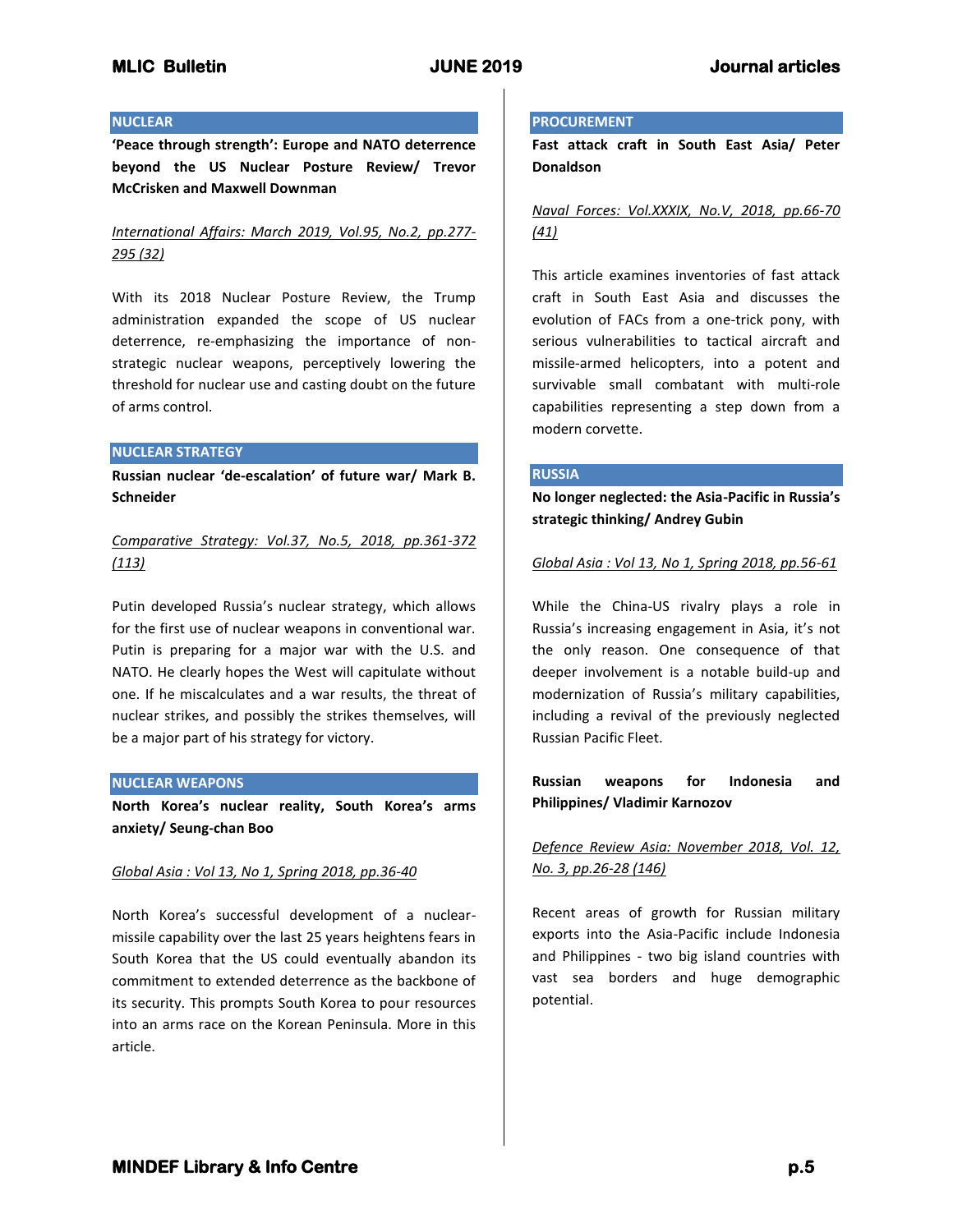### **NUCLEAR**

**'Peace through strength': Europe and NATO deterrence beyond the US Nuclear Posture Review/ Trevor McCrisken and Maxwell Downman**

# *International Affairs: March 2019, Vol.95, No.2, pp.277- 295 (32)*

With its 2018 Nuclear Posture Review, the Trump administration expanded the scope of US nuclear deterrence, re-emphasizing the importance of nonstrategic nuclear weapons, perceptively lowering the threshold for nuclear use and casting doubt on the future of arms control.

### **NUCLEAR STRATEGY**

**Russian nuclear 'de-escalation' of future war/ Mark B. Schneider**

*Comparative Strategy: Vol.37, No.5, 2018, pp.361-372 (113)*

Putin developed Russia's nuclear strategy, which allows for the first use of nuclear weapons in conventional war. Putin is preparing for a major war with the U.S. and NATO. He clearly hopes the West will capitulate without one. If he miscalculates and a war results, the threat of nuclear strikes, and possibly the strikes themselves, will be a major part of his strategy for victory.

### **NUCLEAR WEAPONS**

**North Korea's nuclear reality, South Korea's arms anxiety/ Seung-chan Boo**

## *Global Asia : Vol 13, No 1, Spring 2018, pp.36-40*

North Korea's successful development of a nuclearmissile capability over the last 25 years heightens fears in South Korea that the US could eventually abandon its commitment to extended deterrence as the backbone of its security. This prompts South Korea to pour resources into an arms race on the Korean Peninsula. More in this article.

### **PROCUREMENT**

**Fast attack craft in South East Asia/ Peter Donaldson**

# *Naval Forces: Vol.XXXIX, No.V, 2018, pp.66-70 (41)*

This article examines inventories of fast attack craft in South East Asia and discusses the evolution of FACs from a one-trick pony, with serious vulnerabilities to tactical aircraft and missile-armed helicopters, into a potent and survivable small combatant with multi-role capabilities representing a step down from a modern corvette.

### **RUSSIA**

**No longer neglected: the Asia-Pacific in Russia's strategic thinking/ Andrey Gubin**

## *Global Asia : Vol 13, No 1, Spring 2018, pp.56-61*

While the China-US rivalry plays a role in Russia's increasing engagement in Asia, it's not the only reason. One consequence of that deeper involvement is a notable build-up and modernization of Russia's military capabilities, including a revival of the previously neglected Russian Pacific Fleet.

# **Russian weapons for Indonesia and Philippines/ Vladimir Karnozov**

# *Defence Review Asia: November 2018, Vol. 12, No. 3, pp.26-28 (146)*

Recent areas of growth for Russian military exports into the Asia-Pacific include Indonesia and Philippines - two big island countries with vast sea borders and huge demographic potential.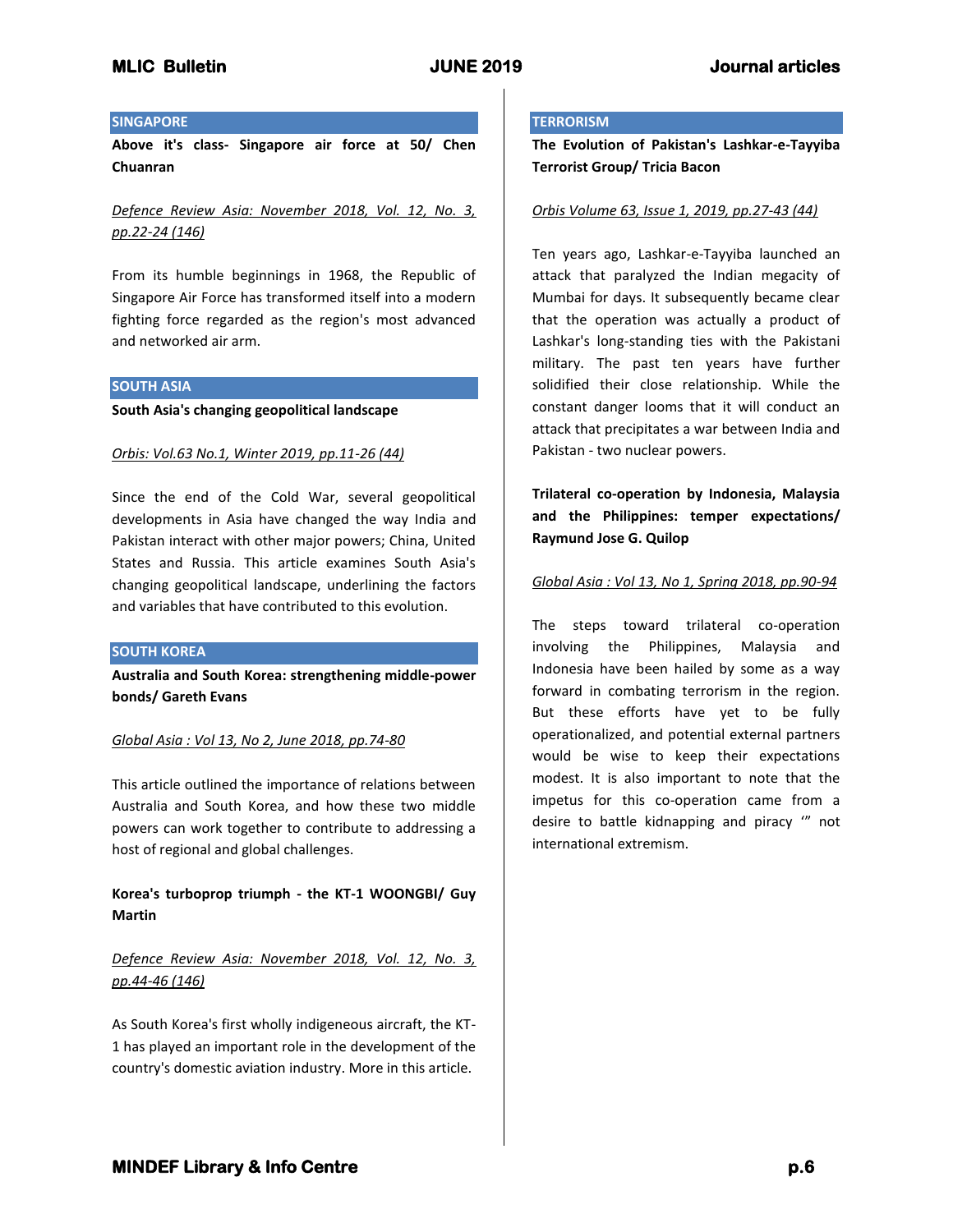## **SINGAPORE**

**Above it's class- Singapore air force at 50/ Chen Chuanran**

*Defence Review Asia: November 2018, Vol. 12, No. 3, pp.22-24 (146)*

From its humble beginnings in 1968, the Republic of Singapore Air Force has transformed itself into a modern fighting force regarded as the region's most advanced and networked air arm.

## **SOUTH ASIA**

**South Asia's changing geopolitical landscape**

### *Orbis: Vol.63 No.1, Winter 2019, pp.11-26 (44)*

Since the end of the Cold War, several geopolitical developments in Asia have changed the way India and Pakistan interact with other major powers; China, United States and Russia. This article examines South Asia's changing geopolitical landscape, underlining the factors and variables that have contributed to this evolution.

### **SOUTH KOREA**

**Australia and South Korea: strengthening middle-power bonds/ Gareth Evans**

### *Global Asia : Vol 13, No 2, June 2018, pp.74-80*

This article outlined the importance of relations between Australia and South Korea, and how these two middle powers can work together to contribute to addressing a host of regional and global challenges.

**Korea's turboprop triumph - the KT-1 WOONGBI/ Guy Martin**

# *Defence Review Asia: November 2018, Vol. 12, No. 3, pp.44-46 (146)*

As South Korea's first wholly indigeneous aircraft, the KT-1 has played an important role in the development of the country's domestic aviation industry. More in this article.

#### **TERRORISM**

**The Evolution of Pakistan's Lashkar-e-Tayyiba Terrorist Group/ Tricia Bacon**

### *Orbis Volume 63, Issue 1, 2019, pp.27-43 (44)*

Ten years ago, Lashkar-e-Tayyiba launched an attack that paralyzed the Indian megacity of Mumbai for days. It subsequently became clear that the operation was actually a product of Lashkar's long-standing ties with the Pakistani military. The past ten years have further solidified their close relationship. While the constant danger looms that it will conduct an attack that precipitates a war between India and Pakistan - two nuclear powers.

**Trilateral co-operation by Indonesia, Malaysia and the Philippines: temper expectations/ Raymund Jose G. Quilop**

### *Global Asia : Vol 13, No 1, Spring 2018, pp.90-94*

The steps toward trilateral co-operation involving the Philippines, Malaysia and Indonesia have been hailed by some as a way forward in combating terrorism in the region. But these efforts have yet to be fully operationalized, and potential external partners would be wise to keep their expectations modest. It is also important to note that the impetus for this co-operation came from a desire to battle kidnapping and piracy '" not international extremism.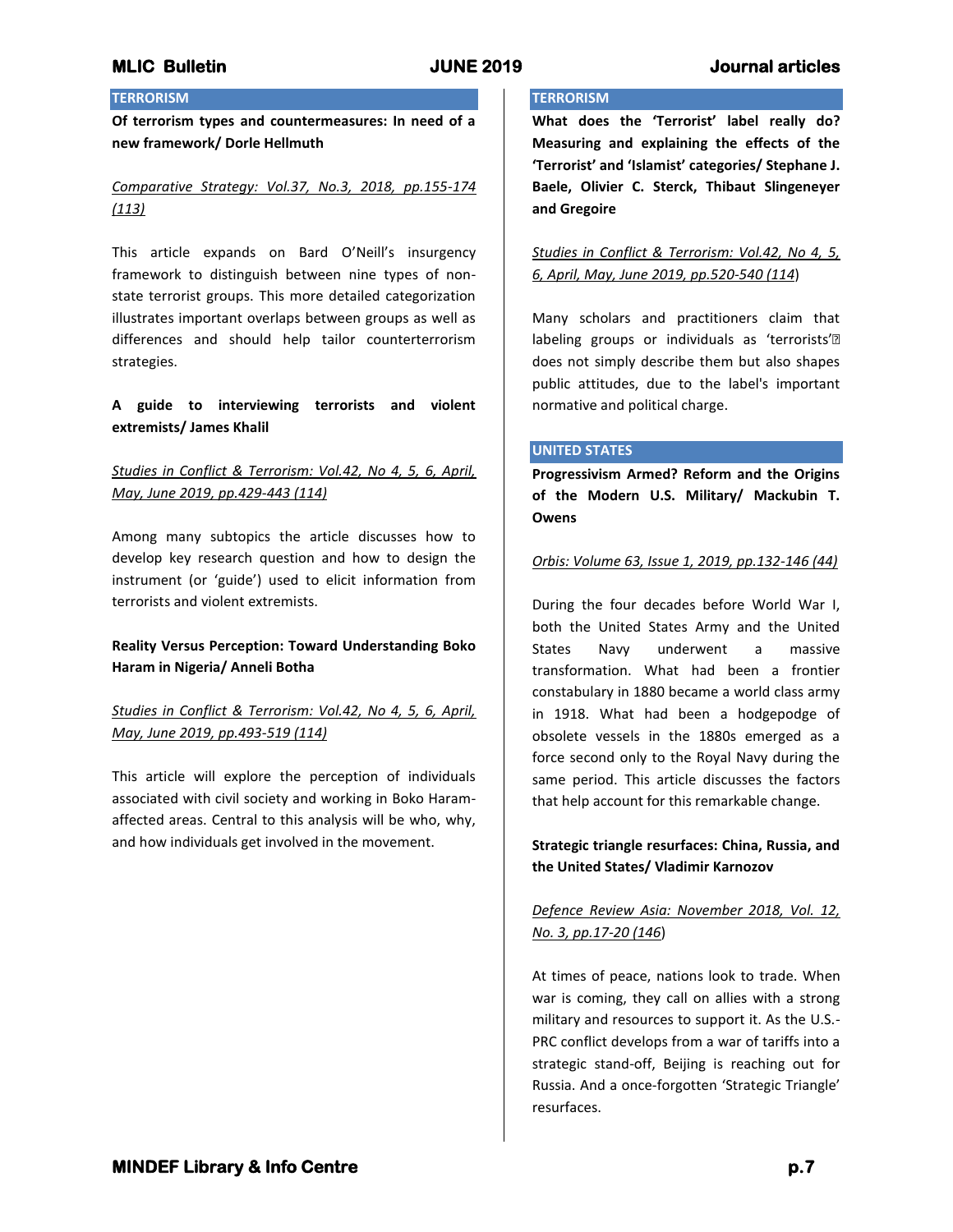# **MLIC Bulletin JUNE 2019 Journal articles**

# **TERRORISM**

**Of terrorism types and countermeasures: In need of a new framework/ Dorle Hellmuth**

*Comparative Strategy: Vol.37, No.3, 2018, pp.155-174 (113)*

This article expands on Bard O'Neill's insurgency framework to distinguish between nine types of nonstate terrorist groups. This more detailed categorization illustrates important overlaps between groups as well as differences and should help tailor counterterrorism strategies.

## **A guide to interviewing terrorists and violent extremists/ James Khalil**

## *Studies in Conflict & Terrorism: Vol.42, No 4, 5, 6, April, May, June 2019, pp.429-443 (114)*

Among many subtopics the article discusses how to develop key research question and how to design the instrument (or 'guide') used to elicit information from terrorists and violent extremists.

## **Reality Versus Perception: Toward Understanding Boko Haram in Nigeria/ Anneli Botha**

# *Studies in Conflict & Terrorism: Vol.42, No 4, 5, 6, April, May, June 2019, pp.493-519 (114)*

This article will explore the perception of individuals associated with civil society and working in Boko Haramaffected areas. Central to this analysis will be who, why, and how individuals get involved in the movement.

# **TERRORISM**

**What does the 'Terrorist' label really do? Measuring and explaining the effects of the 'Terrorist' and 'Islamist' categories/ Stephane J. Baele, Olivier C. Sterck, Thibaut Slingeneyer and Gregoire**

## *Studies in Conflict & Terrorism: Vol.42, No 4, 5, 6, April, May, June 2019, pp.520-540 (114*)

Many scholars and practitioners claim that labeling groups or individuals as 'terrorists'• does not simply describe them but also shapes public attitudes, due to the label's important normative and political charge.

## **UNITED STATES**

**Progressivism Armed? Reform and the Origins of the Modern U.S. Military/ Mackubin T. Owens**

### *Orbis: Volume 63, Issue 1, 2019, pp.132-146 (44)*

During the four decades before World War I, both the United States Army and the United States Navy underwent a massive transformation. What had been a frontier constabulary in 1880 became a world class army in 1918. What had been a hodgepodge of obsolete vessels in the 1880s emerged as a force second only to the Royal Navy during the same period. This article discusses the factors that help account for this remarkable change.

## **Strategic triangle resurfaces: China, Russia, and the United States/ Vladimir Karnozov**

# *Defence Review Asia: November 2018, Vol. 12, No. 3, pp.17-20 (146*)

At times of peace, nations look to trade. When war is coming, they call on allies with a strong military and resources to support it. As the U.S.- PRC conflict develops from a war of tariffs into a strategic stand-off, Beijing is reaching out for Russia. And a once-forgotten 'Strategic Triangle' resurfaces.